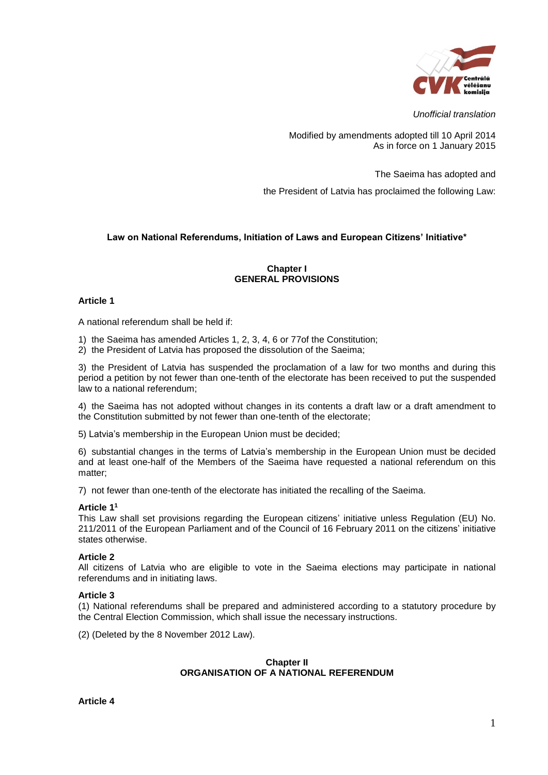

*Unofficial translation*

Modified by amendments adopted till 10 April 2014 As in force on 1 January 2015

The Saeima has adopted and

the President of Latvia has proclaimed the following Law:

# **Law on National Referendums, Initiation of Laws and European Citizens' Initiative\***

## **Chapter I GENERAL PROVISIONS**

### **Article 1**

A national referendum shall be held if:

- 1) the Saeima has amended Articles 1, 2, 3, 4, 6 or 77of the Constitution;
- 2) the President of Latvia has proposed the dissolution of the Saeima;

3) the President of Latvia has suspended the proclamation of a law for two months and during this period a petition by not fewer than one-tenth of the electorate has been received to put the suspended law to a national referendum;

4) the Saeima has not adopted without changes in its contents a draft law or a draft amendment to the Constitution submitted by not fewer than one-tenth of the electorate;

5) Latvia's membership in the European Union must be decided;

6) substantial changes in the terms of Latvia's membership in the European Union must be decided and at least one-half of the Members of the Saeima have requested a national referendum on this matter;

7) not fewer than one-tenth of the electorate has initiated the recalling of the Saeima.

# **Article 1 1**

This Law shall set provisions regarding the European citizens' initiative unless Regulation (EU) No. 211/2011 of the European Parliament and of the Council of 16 February 2011 on the citizens' initiative states otherwise.

### **Article 2**

All citizens of Latvia who are eligible to vote in the Saeima elections may participate in national referendums and in initiating laws.

### **Article 3**

(1) National referendums shall be prepared and administered according to a statutory procedure by the Central Election Commission, which shall issue the necessary instructions.

(2) (Deleted by the 8 November 2012 Law).

### **Chapter II ORGANISATION OF A NATIONAL REFERENDUM**

**Article 4**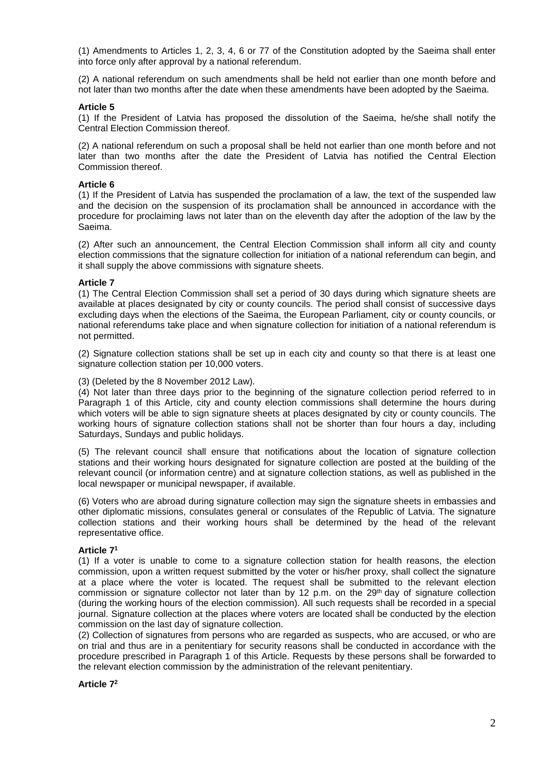(1) Amendments to Articles 1, 2, 3, 4, 6 or 77 of the Constitution adopted by the Saeima shall enter into force only after approval by a national referendum.

(2) A national referendum on such amendments shall be held not earlier than one month before and not later than two months after the date when these amendments have been adopted by the Saeima.

#### **Article 5**

(1) If the President of Latvia has proposed the dissolution of the Saeima, he/she shall notify the Central Election Commission thereof.

(2) A national referendum on such a proposal shall be held not earlier than one month before and not later than two months after the date the President of Latvia has notified the Central Election Commission thereof.

#### **Article 6**

(1) If the President of Latvia has suspended the proclamation of a law, the text of the suspended law and the decision on the suspension of its proclamation shall be announced in accordance with the procedure for proclaiming laws not later than on the eleventh day after the adoption of the law by the Saeima.

(2) After such an announcement, the Central Election Commission shall inform all city and county election commissions that the signature collection for initiation of a national referendum can begin, and it shall supply the above commissions with signature sheets.

### **Article 7**

(1) The Central Election Commission shall set a period of 30 days during which signature sheets are available at places designated by city or county councils. The period shall consist of successive days excluding days when the elections of the Saeima, the European Parliament, city or county councils, or national referendums take place and when signature collection for initiation of a national referendum is not permitted.

(2) Signature collection stations shall be set up in each city and county so that there is at least one signature collection station per 10,000 voters.

(3) (Deleted by the 8 November 2012 Law).

(4) Not later than three days prior to the beginning of the signature collection period referred to in Paragraph 1 of this Article, city and county election commissions shall determine the hours during which voters will be able to sign signature sheets at places designated by city or county councils. The working hours of signature collection stations shall not be shorter than four hours a day, including Saturdays, Sundays and public holidays.

(5) The relevant council shall ensure that notifications about the location of signature collection stations and their working hours designated for signature collection are posted at the building of the relevant council (or information centre) and at signature collection stations, as well as published in the local newspaper or municipal newspaper, if available.

(6) Voters who are abroad during signature collection may sign the signature sheets in embassies and other diplomatic missions, consulates general or consulates of the Republic of Latvia. The signature collection stations and their working hours shall be determined by the head of the relevant representative office.

### **Article 7 1**

(1) If a voter is unable to come to a signature collection station for health reasons, the election commission, upon a written request submitted by the voter or his/her proxy, shall collect the signature at a place where the voter is located. The request shall be submitted to the relevant election commission or signature collector not later than by 12 p.m. on the  $29<sup>th</sup>$  day of signature collection (during the working hours of the election commission). All such requests shall be recorded in a special journal. Signature collection at the places where voters are located shall be conducted by the election commission on the last day of signature collection.

(2) Collection of signatures from persons who are regarded as suspects, who are accused, or who are on trial and thus are in a penitentiary for security reasons shall be conducted in accordance with the procedure prescribed in Paragraph 1 of this Article. Requests by these persons shall be forwarded to the relevant election commission by the administration of the relevant penitentiary.

#### **Article 7 2**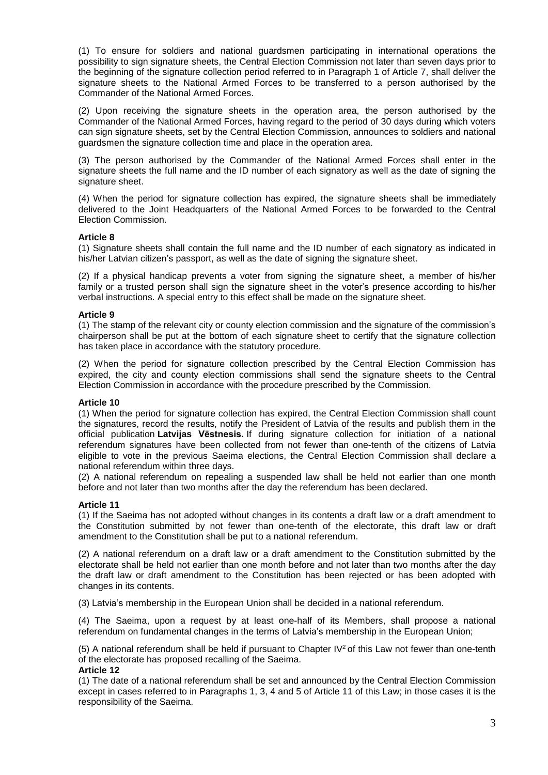(1) To ensure for soldiers and national guardsmen participating in international operations the possibility to sign signature sheets, the Central Election Commission not later than seven days prior to the beginning of the signature collection period referred to in Paragraph 1 of Article 7, shall deliver the signature sheets to the National Armed Forces to be transferred to a person authorised by the Commander of the National Armed Forces.

(2) Upon receiving the signature sheets in the operation area, the person authorised by the Commander of the National Armed Forces, having regard to the period of 30 days during which voters can sign signature sheets, set by the Central Election Commission, announces to soldiers and national guardsmen the signature collection time and place in the operation area.

(3) The person authorised by the Commander of the National Armed Forces shall enter in the signature sheets the full name and the ID number of each signatory as well as the date of signing the signature sheet.

(4) When the period for signature collection has expired, the signature sheets shall be immediately delivered to the Joint Headquarters of the National Armed Forces to be forwarded to the Central Election Commission.

### **Article 8**

(1) Signature sheets shall contain the full name and the ID number of each signatory as indicated in his/her Latvian citizen's passport, as well as the date of signing the signature sheet.

(2) If a physical handicap prevents a voter from signing the signature sheet, a member of his/her family or a trusted person shall sign the signature sheet in the voter's presence according to his/her verbal instructions. A special entry to this effect shall be made on the signature sheet.

### **Article 9**

(1) The stamp of the relevant city or county election commission and the signature of the commission's chairperson shall be put at the bottom of each signature sheet to certify that the signature collection has taken place in accordance with the statutory procedure.

(2) When the period for signature collection prescribed by the Central Election Commission has expired, the city and county election commissions shall send the signature sheets to the Central Election Commission in accordance with the procedure prescribed by the Commission.

# **Article 10**

(1) When the period for signature collection has expired, the Central Election Commission shall count the signatures, record the results, notify the President of Latvia of the results and publish them in the official publication **Latvijas Vēstnesis.** If during signature collection for initiation of a national referendum signatures have been collected from not fewer than one-tenth of the citizens of Latvia eligible to vote in the previous Saeima elections, the Central Election Commission shall declare a national referendum within three days.

(2) A national referendum on repealing a suspended law shall be held not earlier than one month before and not later than two months after the day the referendum has been declared.

### **Article 11**

(1) If the Saeima has not adopted without changes in its contents a draft law or a draft amendment to the Constitution submitted by not fewer than one-tenth of the electorate, this draft law or draft amendment to the Constitution shall be put to a national referendum.

(2) A national referendum on a draft law or a draft amendment to the Constitution submitted by the electorate shall be held not earlier than one month before and not later than two months after the day the draft law or draft amendment to the Constitution has been rejected or has been adopted with changes in its contents.

(3) Latvia's membership in the European Union shall be decided in a national referendum.

(4) The Saeima, upon a request by at least one-half of its Members, shall propose a national referendum on fundamental changes in the terms of Latvia's membership in the European Union;

(5) A national referendum shall be held if pursuant to Chapter IV<sup>2</sup> of this Law not fewer than one-tenth of the electorate has proposed recalling of the Saeima.

### **Article 12**

(1) The date of a national referendum shall be set and announced by the Central Election Commission except in cases referred to in Paragraphs 1, 3, 4 and 5 of Article 11 of this Law; in those cases it is the responsibility of the Saeima.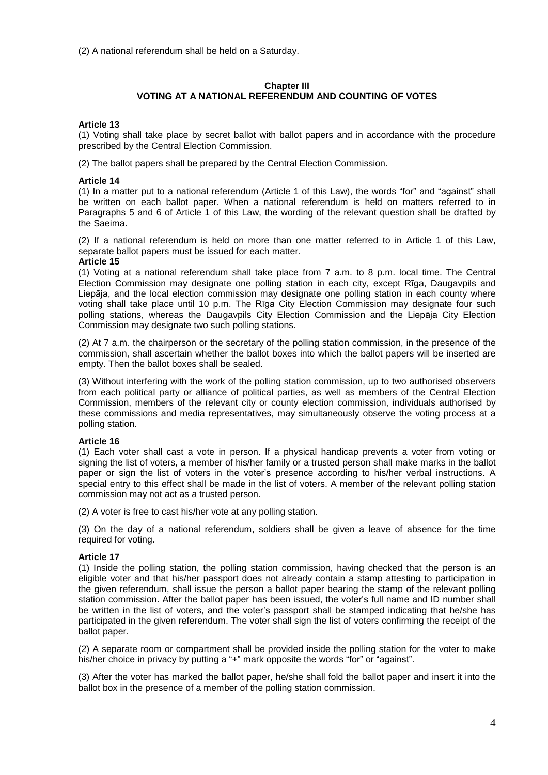(2) A national referendum shall be held on a Saturday.

# **Chapter III VOTING AT A NATIONAL REFERENDUM AND COUNTING OF VOTES**

### **Article 13**

(1) Voting shall take place by secret ballot with ballot papers and in accordance with the procedure prescribed by the Central Election Commission.

(2) The ballot papers shall be prepared by the Central Election Commission.

### **Article 14**

(1) In a matter put to a national referendum (Article 1 of this Law), the words "for" and "against" shall be written on each ballot paper. When a national referendum is held on matters referred to in Paragraphs 5 and 6 of Article 1 of this Law, the wording of the relevant question shall be drafted by the Saeima.

(2) If a national referendum is held on more than one matter referred to in Article 1 of this Law, separate ballot papers must be issued for each matter.

#### **Article 15**

(1) Voting at a national referendum shall take place from 7 a.m. to 8 p.m. local time. The Central Election Commission may designate one polling station in each city, except Rīga, Daugavpils and Liepāja, and the local election commission may designate one polling station in each county where voting shall take place until 10 p.m. The Rīga City Election Commission may designate four such polling stations, whereas the Daugavpils City Election Commission and the Liepāja City Election Commission may designate two such polling stations.

(2) At 7 a.m. the chairperson or the secretary of the polling station commission, in the presence of the commission, shall ascertain whether the ballot boxes into which the ballot papers will be inserted are empty. Then the ballot boxes shall be sealed.

(3) Without interfering with the work of the polling station commission, up to two authorised observers from each political party or alliance of political parties, as well as members of the Central Election Commission, members of the relevant city or county election commission, individuals authorised by these commissions and media representatives, may simultaneously observe the voting process at a polling station.

### **Article 16**

(1) Each voter shall cast a vote in person. If a physical handicap prevents a voter from voting or signing the list of voters, a member of his/her family or a trusted person shall make marks in the ballot paper or sign the list of voters in the voter's presence according to his/her verbal instructions. A special entry to this effect shall be made in the list of voters. A member of the relevant polling station commission may not act as a trusted person.

(2) A voter is free to cast his/her vote at any polling station.

(3) On the day of a national referendum, soldiers shall be given a leave of absence for the time required for voting.

### **Article 17**

(1) Inside the polling station, the polling station commission, having checked that the person is an eligible voter and that his/her passport does not already contain a stamp attesting to participation in the given referendum, shall issue the person a ballot paper bearing the stamp of the relevant polling station commission. After the ballot paper has been issued, the voter's full name and ID number shall be written in the list of voters, and the voter's passport shall be stamped indicating that he/she has participated in the given referendum. The voter shall sign the list of voters confirming the receipt of the ballot paper.

(2) A separate room or compartment shall be provided inside the polling station for the voter to make his/her choice in privacy by putting a "+" mark opposite the words "for" or "against".

(3) After the voter has marked the ballot paper, he/she shall fold the ballot paper and insert it into the ballot box in the presence of a member of the polling station commission.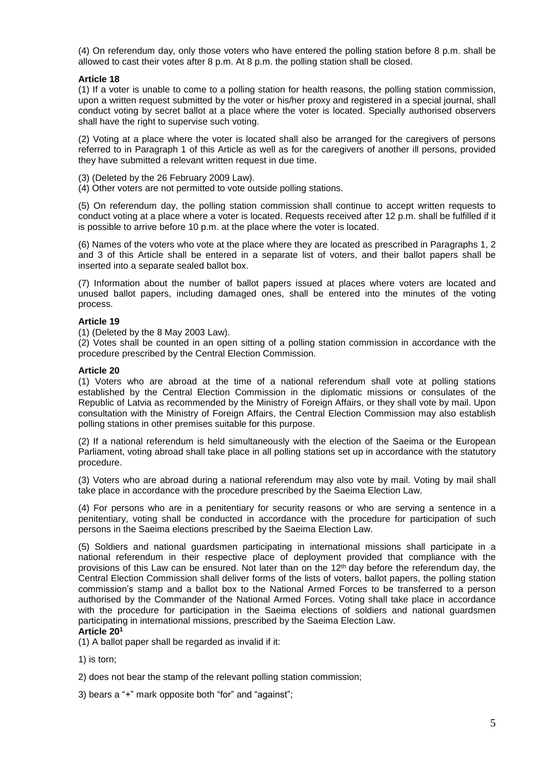(4) On referendum day, only those voters who have entered the polling station before 8 p.m. shall be allowed to cast their votes after 8 p.m. At 8 p.m. the polling station shall be closed.

## **Article 18**

(1) If a voter is unable to come to a polling station for health reasons, the polling station commission, upon a written request submitted by the voter or his/her proxy and registered in a special journal, shall conduct voting by secret ballot at a place where the voter is located. Specially authorised observers shall have the right to supervise such voting.

(2) Voting at a place where the voter is located shall also be arranged for the caregivers of persons referred to in Paragraph 1 of this Article as well as for the caregivers of another ill persons, provided they have submitted a relevant written request in due time.

- (3) (Deleted by the 26 February 2009 Law).
- (4) Other voters are not permitted to vote outside polling stations.

(5) On referendum day, the polling station commission shall continue to accept written requests to conduct voting at a place where a voter is located. Requests received after 12 p.m. shall be fulfilled if it is possible to arrive before 10 p.m. at the place where the voter is located.

(6) Names of the voters who vote at the place where they are located as prescribed in Paragraphs 1, 2 and 3 of this Article shall be entered in a separate list of voters, and their ballot papers shall be inserted into a separate sealed ballot box.

(7) Information about the number of ballot papers issued at places where voters are located and unused ballot papers, including damaged ones, shall be entered into the minutes of the voting process.

### **Article 19**

(1) (Deleted by the 8 May 2003 Law).

(2) Votes shall be counted in an open sitting of a polling station commission in accordance with the procedure prescribed by the Central Election Commission.

#### **Article 20**

(1) Voters who are abroad at the time of a national referendum shall vote at polling stations established by the Central Election Commission in the diplomatic missions or consulates of the Republic of Latvia as recommended by the Ministry of Foreign Affairs, or they shall vote by mail. Upon consultation with the Ministry of Foreign Affairs, the Central Election Commission may also establish polling stations in other premises suitable for this purpose.

(2) If a national referendum is held simultaneously with the election of the Saeima or the European Parliament, voting abroad shall take place in all polling stations set up in accordance with the statutory procedure.

(3) Voters who are abroad during a national referendum may also vote by mail. Voting by mail shall take place in accordance with the procedure prescribed by the Saeima Election Law.

(4) For persons who are in a penitentiary for security reasons or who are serving a sentence in a penitentiary, voting shall be conducted in accordance with the procedure for participation of such persons in the Saeima elections prescribed by the Saeima Election Law.

(5) Soldiers and national guardsmen participating in international missions shall participate in a national referendum in their respective place of deployment provided that compliance with the provisions of this Law can be ensured. Not later than on the 12<sup>th</sup> day before the referendum day, the Central Election Commission shall deliver forms of the lists of voters, ballot papers, the polling station commission's stamp and a ballot box to the National Armed Forces to be transferred to a person authorised by the Commander of the National Armed Forces. Voting shall take place in accordance with the procedure for participation in the Saeima elections of soldiers and national guardsmen participating in international missions, prescribed by the Saeima Election Law.

# **Article 20 1**

(1) A ballot paper shall be regarded as invalid if it:

1) is torn;

2) does not bear the stamp of the relevant polling station commission;

3) bears a "+" mark opposite both "for" and "against";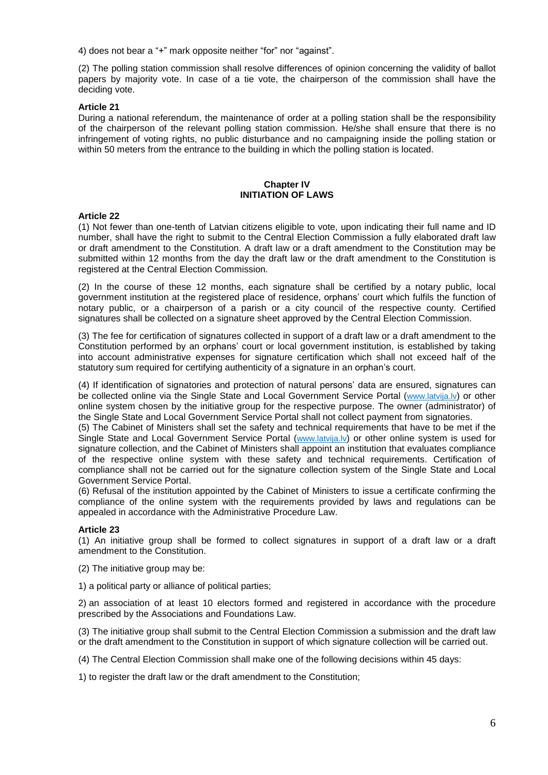4) does not bear a "+" mark opposite neither "for" nor "against".

(2) The polling station commission shall resolve differences of opinion concerning the validity of ballot papers by majority vote. In case of a tie vote, the chairperson of the commission shall have the deciding vote.

## **Article 21**

During a national referendum, the maintenance of order at a polling station shall be the responsibility of the chairperson of the relevant polling station commission. He/she shall ensure that there is no infringement of voting rights, no public disturbance and no campaigning inside the polling station or within 50 meters from the entrance to the building in which the polling station is located.

### **Chapter IV INITIATION OF LAWS**

### **Article 22**

(1) Not fewer than one-tenth of Latvian citizens eligible to vote, upon indicating their full name and ID number, shall have the right to submit to the Central Election Commission a fully elaborated draft law or draft amendment to the Constitution. A draft law or a draft amendment to the Constitution may be submitted within 12 months from the day the draft law or the draft amendment to the Constitution is registered at the Central Election Commission.

(2) In the course of these 12 months, each signature shall be certified by a notary public, local government institution at the registered place of residence, orphans' court which fulfils the function of notary public, or a chairperson of a parish or a city council of the respective county. Certified signatures shall be collected on a signature sheet approved by the Central Election Commission.

(3) The fee for certification of signatures collected in support of a draft law or a draft amendment to the Constitution performed by an orphans' court or local government institution, is established by taking into account administrative expenses for signature certification which shall not exceed half of the statutory sum required for certifying authenticity of a signature in an orphan's court.

(4) If identification of signatories and protection of natural persons' data are ensured, signatures can be collected online via the Single State and Local Government Service Portal ([www.latvija.lv](http://www.latvija.lv/)) or other online system chosen by the initiative group for the respective purpose. The owner (administrator) of the Single State and Local Government Service Portal shall not collect payment from signatories.

(5) The Cabinet of Ministers shall set the safety and technical requirements that have to be met if the Single State and Local Government Service Portal ([www.latvija.lv](http://www.latvija.lv/)) or other online system is used for signature collection, and the Cabinet of Ministers shall appoint an institution that evaluates compliance of the respective online system with these safety and technical requirements. Certification of compliance shall not be carried out for the signature collection system of the Single State and Local Government Service Portal.

(6) Refusal of the institution appointed by the Cabinet of Ministers to issue a certificate confirming the compliance of the online system with the requirements provided by laws and regulations can be appealed in accordance with the Administrative Procedure Law.

# **Article 23**

(1) An initiative group shall be formed to collect signatures in support of a draft law or a draft amendment to the Constitution.

- (2) The initiative group may be:
- 1) a political party or alliance of political parties;

2) an association of at least 10 electors formed and registered in accordance with the procedure prescribed by the Associations and Foundations Law.

(3) The initiative group shall submit to the Central Election Commission a submission and the draft law or the draft amendment to the Constitution in support of which signature collection will be carried out.

(4) The Central Election Commission shall make one of the following decisions within 45 days:

1) to register the draft law or the draft amendment to the Constitution;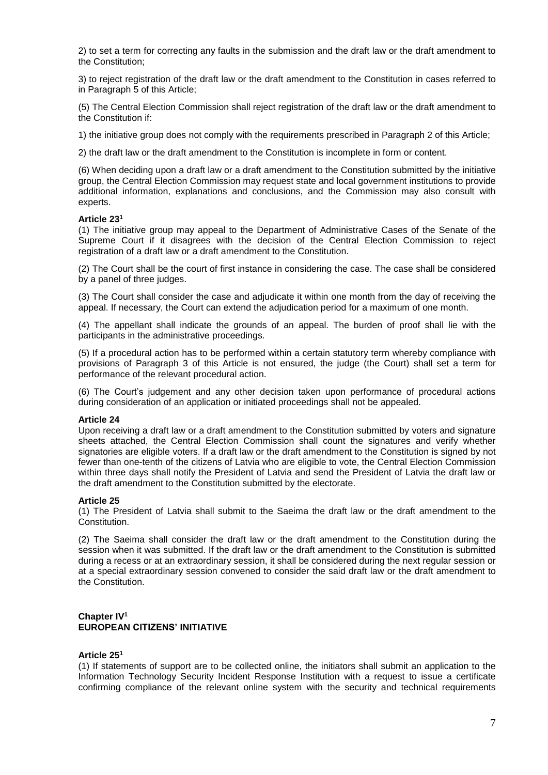2) to set a term for correcting any faults in the submission and the draft law or the draft amendment to the Constitution;

3) to reject registration of the draft law or the draft amendment to the Constitution in cases referred to in Paragraph 5 of this Article;

(5) The Central Election Commission shall reject registration of the draft law or the draft amendment to the Constitution if:

1) the initiative group does not comply with the requirements prescribed in Paragraph 2 of this Article;

2) the draft law or the draft amendment to the Constitution is incomplete in form or content.

(6) When deciding upon a draft law or a draft amendment to the Constitution submitted by the initiative group, the Central Election Commission may request state and local government institutions to provide additional information, explanations and conclusions, and the Commission may also consult with experts.

### **Article 23 1**

(1) The initiative group may appeal to the Department of Administrative Cases of the Senate of the Supreme Court if it disagrees with the decision of the Central Election Commission to reject registration of a draft law or a draft amendment to the Constitution.

(2) The Court shall be the court of first instance in considering the case. The case shall be considered by a panel of three judges.

(3) The Court shall consider the case and adjudicate it within one month from the day of receiving the appeal. If necessary, the Court can extend the adjudication period for a maximum of one month.

(4) The appellant shall indicate the grounds of an appeal. The burden of proof shall lie with the participants in the administrative proceedings.

(5) If a procedural action has to be performed within a certain statutory term whereby compliance with provisions of Paragraph 3 of this Article is not ensured, the judge (the Court) shall set a term for performance of the relevant procedural action.

(6) The Court's judgement and any other decision taken upon performance of procedural actions during consideration of an application or initiated proceedings shall not be appealed.

#### **Article 24**

Upon receiving a draft law or a draft amendment to the Constitution submitted by voters and signature sheets attached, the Central Election Commission shall count the signatures and verify whether signatories are eligible voters. If a draft law or the draft amendment to the Constitution is signed by not fewer than one-tenth of the citizens of Latvia who are eligible to vote, the Central Election Commission within three days shall notify the President of Latvia and send the President of Latvia the draft law or the draft amendment to the Constitution submitted by the electorate.

### **Article 25**

(1) The President of Latvia shall submit to the Saeima the draft law or the draft amendment to the Constitution.

(2) The Saeima shall consider the draft law or the draft amendment to the Constitution during the session when it was submitted. If the draft law or the draft amendment to the Constitution is submitted during a recess or at an extraordinary session, it shall be considered during the next regular session or at a special extraordinary session convened to consider the said draft law or the draft amendment to the Constitution.

# **Chapter IV 1 EUROPEAN CITIZENS' INITIATIVE**

### **Article 25 1**

(1) If statements of support are to be collected online, the initiators shall submit an application to the Information Technology Security Incident Response Institution with a request to issue a certificate confirming compliance of the relevant online system with the security and technical requirements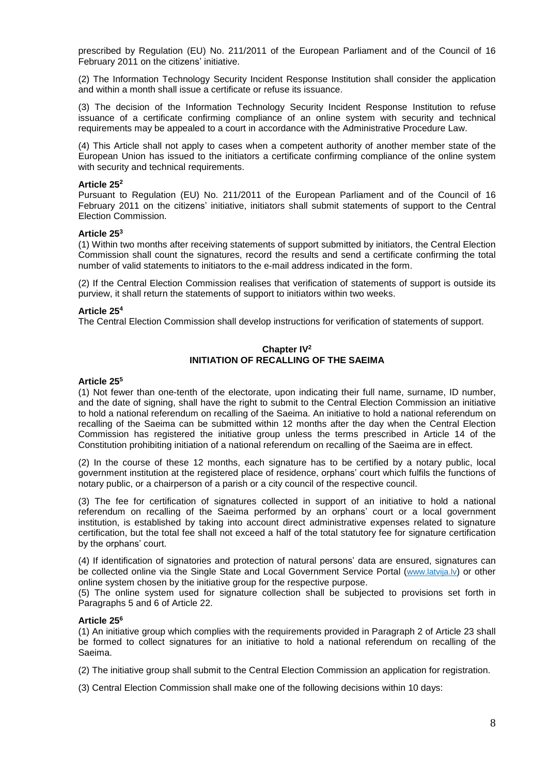prescribed by Regulation (EU) No. 211/2011 of the European Parliament and of the Council of 16 February 2011 on the citizens' initiative.

(2) The Information Technology Security Incident Response Institution shall consider the application and within a month shall issue a certificate or refuse its issuance.

(3) The decision of the Information Technology Security Incident Response Institution to refuse issuance of a certificate confirming compliance of an online system with security and technical requirements may be appealed to a court in accordance with the Administrative Procedure Law.

(4) This Article shall not apply to cases when a competent authority of another member state of the European Union has issued to the initiators a certificate confirming compliance of the online system with security and technical requirements.

#### **Article 25 2**

Pursuant to Regulation (EU) No. 211/2011 of the European Parliament and of the Council of 16 February 2011 on the citizens' initiative, initiators shall submit statements of support to the Central Election Commission.

#### **Article 25 3**

(1) Within two months after receiving statements of support submitted by initiators, the Central Election Commission shall count the signatures, record the results and send a certificate confirming the total number of valid statements to initiators to the e-mail address indicated in the form.

(2) If the Central Election Commission realises that verification of statements of support is outside its purview, it shall return the statements of support to initiators within two weeks.

#### **Article 25 4**

The Central Election Commission shall develop instructions for verification of statements of support.

## **Chapter IV 2 INITIATION OF RECALLING OF THE SAEIMA**

#### **Article 25 5**

(1) Not fewer than one-tenth of the electorate, upon indicating their full name, surname, ID number, and the date of signing, shall have the right to submit to the Central Election Commission an initiative to hold a national referendum on recalling of the Saeima. An initiative to hold a national referendum on recalling of the Saeima can be submitted within 12 months after the day when the Central Election Commission has registered the initiative group unless the terms prescribed in Article 14 of the Constitution prohibiting initiation of a national referendum on recalling of the Saeima are in effect.

(2) In the course of these 12 months, each signature has to be certified by a notary public, local government institution at the registered place of residence, orphans' court which fulfils the functions of notary public, or a chairperson of a parish or a city council of the respective council.

(3) The fee for certification of signatures collected in support of an initiative to hold a national referendum on recalling of the Saeima performed by an orphans' court or a local government institution, is established by taking into account direct administrative expenses related to signature certification, but the total fee shall not exceed a half of the total statutory fee for signature certification by the orphans' court.

(4) If identification of signatories and protection of natural persons' data are ensured, signatures can be collected online via the Single State and Local Government Service Portal ([www.latvija.lv](http://www.latvija.lv/)) or other online system chosen by the initiative group for the respective purpose.

(5) The online system used for signature collection shall be subjected to provisions set forth in Paragraphs 5 and 6 of Article 22.

#### **Article 25 6**

(1) An initiative group which complies with the requirements provided in Paragraph 2 of Article 23 shall be formed to collect signatures for an initiative to hold a national referendum on recalling of the Saeima.

(2) The initiative group shall submit to the Central Election Commission an application for registration.

(3) Central Election Commission shall make one of the following decisions within 10 days: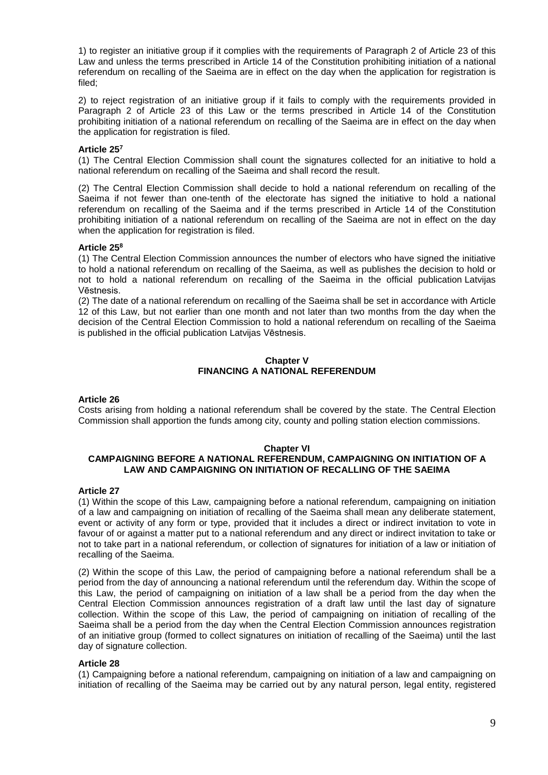1) to register an initiative group if it complies with the requirements of Paragraph 2 of Article 23 of this Law and unless the terms prescribed in Article 14 of the Constitution prohibiting initiation of a national referendum on recalling of the Saeima are in effect on the day when the application for registration is filed;

2) to reject registration of an initiative group if it fails to comply with the requirements provided in Paragraph 2 of Article 23 of this Law or the terms prescribed in Article 14 of the Constitution prohibiting initiation of a national referendum on recalling of the Saeima are in effect on the day when the application for registration is filed.

## **Article 25 7**

(1) The Central Election Commission shall count the signatures collected for an initiative to hold a national referendum on recalling of the Saeima and shall record the result.

(2) The Central Election Commission shall decide to hold a national referendum on recalling of the Saeima if not fewer than one-tenth of the electorate has signed the initiative to hold a national referendum on recalling of the Saeima and if the terms prescribed in Article 14 of the Constitution prohibiting initiation of a national referendum on recalling of the Saeima are not in effect on the day when the application for registration is filed.

## **Article 25 8**

(1) The Central Election Commission announces the number of electors who have signed the initiative to hold a national referendum on recalling of the Saeima, as well as publishes the decision to hold or not to hold a national referendum on recalling of the Saeima in the official publication Latvijas Vēstnesis.

(2) The date of a national referendum on recalling of the Saeima shall be set in accordance with Article 12 of this Law, but not earlier than one month and not later than two months from the day when the decision of the Central Election Commission to hold a national referendum on recalling of the Saeima is published in the official publication Latvijas Vēstnesis.

## **Chapter V FINANCING A NATIONAL REFERENDUM**

## **Article 26**

Costs arising from holding a national referendum shall be covered by the state. The Central Election Commission shall apportion the funds among city, county and polling station election commissions.

### **Chapter VI**

# **CAMPAIGNING BEFORE A NATIONAL REFERENDUM, CAMPAIGNING ON INITIATION OF A LAW AND CAMPAIGNING ON INITIATION OF RECALLING OF THE SAEIMA**

### **Article 27**

(1) Within the scope of this Law, campaigning before a national referendum, campaigning on initiation of a law and campaigning on initiation of recalling of the Saeima shall mean any deliberate statement, event or activity of any form or type, provided that it includes a direct or indirect invitation to vote in favour of or against a matter put to a national referendum and any direct or indirect invitation to take or not to take part in a national referendum, or collection of signatures for initiation of a law or initiation of recalling of the Saeima.

(2) Within the scope of this Law, the period of campaigning before a national referendum shall be a period from the day of announcing a national referendum until the referendum day. Within the scope of this Law, the period of campaigning on initiation of a law shall be a period from the day when the Central Election Commission announces registration of a draft law until the last day of signature collection. Within the scope of this Law, the period of campaigning on initiation of recalling of the Saeima shall be a period from the day when the Central Election Commission announces registration of an initiative group (formed to collect signatures on initiation of recalling of the Saeima) until the last day of signature collection.

### **Article 28**

(1) Campaigning before a national referendum, campaigning on initiation of a law and campaigning on initiation of recalling of the Saeima may be carried out by any natural person, legal entity, registered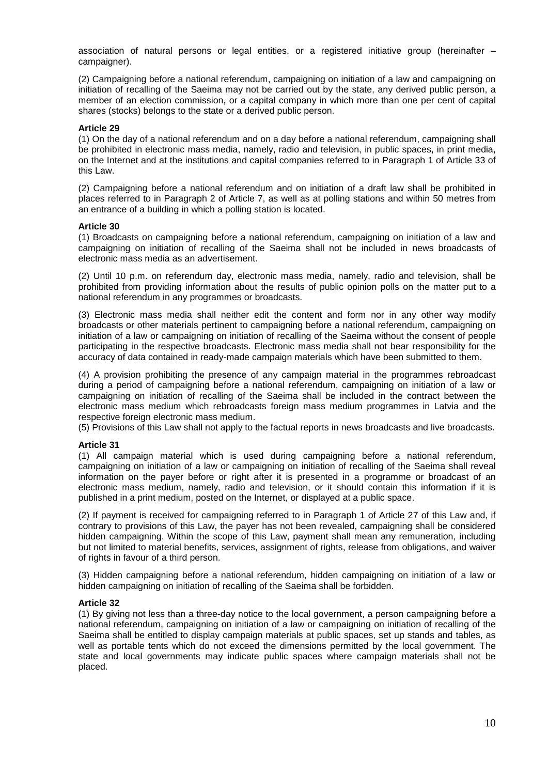association of natural persons or legal entities, or a registered initiative group (hereinafter – campaigner).

(2) Campaigning before a national referendum, campaigning on initiation of a law and campaigning on initiation of recalling of the Saeima may not be carried out by the state, any derived public person, a member of an election commission, or a capital company in which more than one per cent of capital shares (stocks) belongs to the state or a derived public person.

#### **Article 29**

(1) On the day of a national referendum and on a day before a national referendum, campaigning shall be prohibited in electronic mass media, namely, radio and television, in public spaces, in print media, on the Internet and at the institutions and capital companies referred to in Paragraph 1 of Article 33 of this Law.

(2) Campaigning before a national referendum and on initiation of a draft law shall be prohibited in places referred to in Paragraph 2 of Article 7, as well as at polling stations and within 50 metres from an entrance of a building in which a polling station is located.

#### **Article 30**

(1) Broadcasts on campaigning before a national referendum, campaigning on initiation of a law and campaigning on initiation of recalling of the Saeima shall not be included in news broadcasts of electronic mass media as an advertisement.

(2) Until 10 p.m. on referendum day, electronic mass media, namely, radio and television, shall be prohibited from providing information about the results of public opinion polls on the matter put to a national referendum in any programmes or broadcasts.

(3) Electronic mass media shall neither edit the content and form nor in any other way modify broadcasts or other materials pertinent to campaigning before a national referendum, campaigning on initiation of a law or campaigning on initiation of recalling of the Saeima without the consent of people participating in the respective broadcasts. Electronic mass media shall not bear responsibility for the accuracy of data contained in ready-made campaign materials which have been submitted to them.

(4) A provision prohibiting the presence of any campaign material in the programmes rebroadcast during a period of campaigning before a national referendum, campaigning on initiation of a law or campaigning on initiation of recalling of the Saeima shall be included in the contract between the electronic mass medium which rebroadcasts foreign mass medium programmes in Latvia and the respective foreign electronic mass medium.

(5) Provisions of this Law shall not apply to the factual reports in news broadcasts and live broadcasts.

### **Article 31**

(1) All campaign material which is used during campaigning before a national referendum, campaigning on initiation of a law or campaigning on initiation of recalling of the Saeima shall reveal information on the payer before or right after it is presented in a programme or broadcast of an electronic mass medium, namely, radio and television, or it should contain this information if it is published in a print medium, posted on the Internet, or displayed at a public space.

(2) If payment is received for campaigning referred to in Paragraph 1 of Article 27 of this Law and, if contrary to provisions of this Law, the payer has not been revealed, campaigning shall be considered hidden campaigning. Within the scope of this Law, payment shall mean any remuneration, including but not limited to material benefits, services, assignment of rights, release from obligations, and waiver of rights in favour of a third person.

(3) Hidden campaigning before a national referendum, hidden campaigning on initiation of a law or hidden campaigning on initiation of recalling of the Saeima shall be forbidden.

#### **Article 32**

(1) By giving not less than a three-day notice to the local government, a person campaigning before a national referendum, campaigning on initiation of a law or campaigning on initiation of recalling of the Saeima shall be entitled to display campaign materials at public spaces, set up stands and tables, as well as portable tents which do not exceed the dimensions permitted by the local government. The state and local governments may indicate public spaces where campaign materials shall not be placed.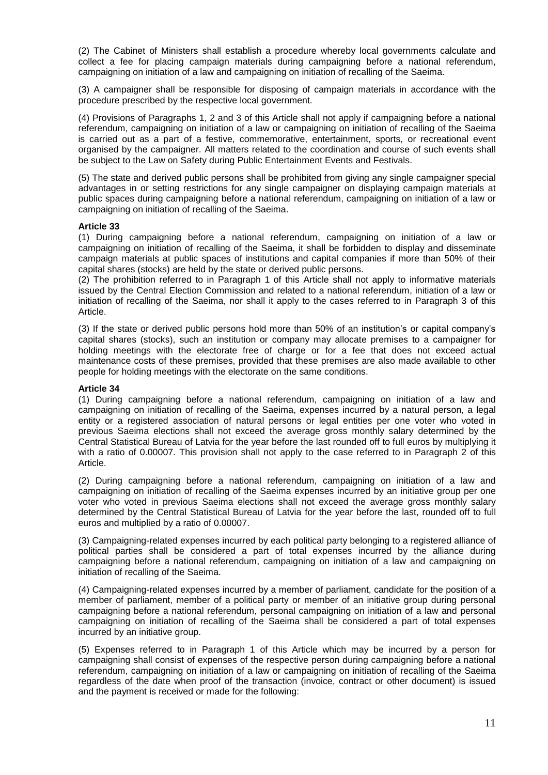(2) The Cabinet of Ministers shall establish a procedure whereby local governments calculate and collect a fee for placing campaign materials during campaigning before a national referendum, campaigning on initiation of a law and campaigning on initiation of recalling of the Saeima.

(3) A campaigner shall be responsible for disposing of campaign materials in accordance with the procedure prescribed by the respective local government.

(4) Provisions of Paragraphs 1, 2 and 3 of this Article shall not apply if campaigning before a national referendum, campaigning on initiation of a law or campaigning on initiation of recalling of the Saeima is carried out as a part of a festive, commemorative, entertainment, sports, or recreational event organised by the campaigner. All matters related to the coordination and course of such events shall be subject to the Law on Safety during Public Entertainment Events and Festivals.

(5) The state and derived public persons shall be prohibited from giving any single campaigner special advantages in or setting restrictions for any single campaigner on displaying campaign materials at public spaces during campaigning before a national referendum, campaigning on initiation of a law or campaigning on initiation of recalling of the Saeima.

### **Article 33**

(1) During campaigning before a national referendum, campaigning on initiation of a law or campaigning on initiation of recalling of the Saeima, it shall be forbidden to display and disseminate campaign materials at public spaces of institutions and capital companies if more than 50% of their capital shares (stocks) are held by the state or derived public persons.

(2) The prohibition referred to in Paragraph 1 of this Article shall not apply to informative materials issued by the Central Election Commission and related to a national referendum, initiation of a law or initiation of recalling of the Saeima, nor shall it apply to the cases referred to in Paragraph 3 of this Article.

(3) If the state or derived public persons hold more than 50% of an institution's or capital company's capital shares (stocks), such an institution or company may allocate premises to a campaigner for holding meetings with the electorate free of charge or for a fee that does not exceed actual maintenance costs of these premises, provided that these premises are also made available to other people for holding meetings with the electorate on the same conditions.

## **Article 34**

(1) During campaigning before a national referendum, campaigning on initiation of a law and campaigning on initiation of recalling of the Saeima, expenses incurred by a natural person, a legal entity or a registered association of natural persons or legal entities per one voter who voted in previous Saeima elections shall not exceed the average gross monthly salary determined by the Central Statistical Bureau of Latvia for the year before the last rounded off to full euros by multiplying it with a ratio of 0.00007. This provision shall not apply to the case referred to in Paragraph 2 of this Article.

(2) During campaigning before a national referendum, campaigning on initiation of a law and campaigning on initiation of recalling of the Saeima expenses incurred by an initiative group per one voter who voted in previous Saeima elections shall not exceed the average gross monthly salary determined by the Central Statistical Bureau of Latvia for the year before the last, rounded off to full euros and multiplied by a ratio of 0.00007.

(3) Campaigning-related expenses incurred by each political party belonging to a registered alliance of political parties shall be considered a part of total expenses incurred by the alliance during campaigning before a national referendum, campaigning on initiation of a law and campaigning on initiation of recalling of the Saeima.

(4) Campaigning-related expenses incurred by a member of parliament, candidate for the position of a member of parliament, member of a political party or member of an initiative group during personal campaigning before a national referendum, personal campaigning on initiation of a law and personal campaigning on initiation of recalling of the Saeima shall be considered a part of total expenses incurred by an initiative group.

(5) Expenses referred to in Paragraph 1 of this Article which may be incurred by a person for campaigning shall consist of expenses of the respective person during campaigning before a national referendum, campaigning on initiation of a law or campaigning on initiation of recalling of the Saeima regardless of the date when proof of the transaction (invoice, contract or other document) is issued and the payment is received or made for the following: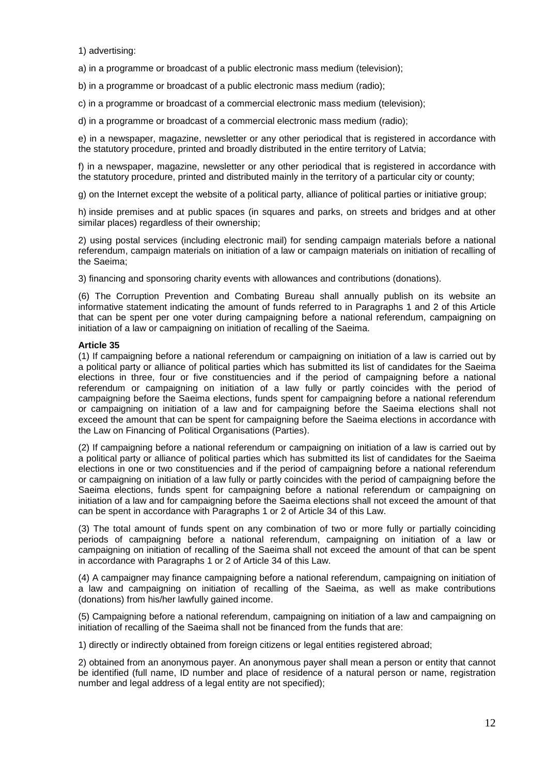1) advertising:

a) in a programme or broadcast of a public electronic mass medium (television);

b) in a programme or broadcast of a public electronic mass medium (radio);

c) in a programme or broadcast of a commercial electronic mass medium (television);

d) in a programme or broadcast of a commercial electronic mass medium (radio);

e) in a newspaper, magazine, newsletter or any other periodical that is registered in accordance with the statutory procedure, printed and broadly distributed in the entire territory of Latvia;

f) in a newspaper, magazine, newsletter or any other periodical that is registered in accordance with the statutory procedure, printed and distributed mainly in the territory of a particular city or county;

g) on the Internet except the website of a political party, alliance of political parties or initiative group;

h) inside premises and at public spaces (in squares and parks, on streets and bridges and at other similar places) regardless of their ownership:

2) using postal services (including electronic mail) for sending campaign materials before a national referendum, campaign materials on initiation of a law or campaign materials on initiation of recalling of the Saeima;

3) financing and sponsoring charity events with allowances and contributions (donations).

(6) The Corruption Prevention and Combating Bureau shall annually publish on its website an informative statement indicating the amount of funds referred to in Paragraphs 1 and 2 of this Article that can be spent per one voter during campaigning before a national referendum, campaigning on initiation of a law or campaigning on initiation of recalling of the Saeima.

### **Article 35**

(1) If campaigning before a national referendum or campaigning on initiation of a law is carried out by a political party or alliance of political parties which has submitted its list of candidates for the Saeima elections in three, four or five constituencies and if the period of campaigning before a national referendum or campaigning on initiation of a law fully or partly coincides with the period of campaigning before the Saeima elections, funds spent for campaigning before a national referendum or campaigning on initiation of a law and for campaigning before the Saeima elections shall not exceed the amount that can be spent for campaigning before the Saeima elections in accordance with the Law on Financing of Political Organisations (Parties).

(2) If campaigning before a national referendum or campaigning on initiation of a law is carried out by a political party or alliance of political parties which has submitted its list of candidates for the Saeima elections in one or two constituencies and if the period of campaigning before a national referendum or campaigning on initiation of a law fully or partly coincides with the period of campaigning before the Saeima elections, funds spent for campaigning before a national referendum or campaigning on initiation of a law and for campaigning before the Saeima elections shall not exceed the amount of that can be spent in accordance with Paragraphs 1 or 2 of Article 34 of this Law.

(3) The total amount of funds spent on any combination of two or more fully or partially coinciding periods of campaigning before a national referendum, campaigning on initiation of a law or campaigning on initiation of recalling of the Saeima shall not exceed the amount of that can be spent in accordance with Paragraphs 1 or 2 of Article 34 of this Law.

(4) A campaigner may finance campaigning before a national referendum, campaigning on initiation of a law and campaigning on initiation of recalling of the Saeima, as well as make contributions (donations) from his/her lawfully gained income.

(5) Campaigning before a national referendum, campaigning on initiation of a law and campaigning on initiation of recalling of the Saeima shall not be financed from the funds that are:

1) directly or indirectly obtained from foreign citizens or legal entities registered abroad;

2) obtained from an anonymous payer. An anonymous payer shall mean a person or entity that cannot be identified (full name, ID number and place of residence of a natural person or name, registration number and legal address of a legal entity are not specified);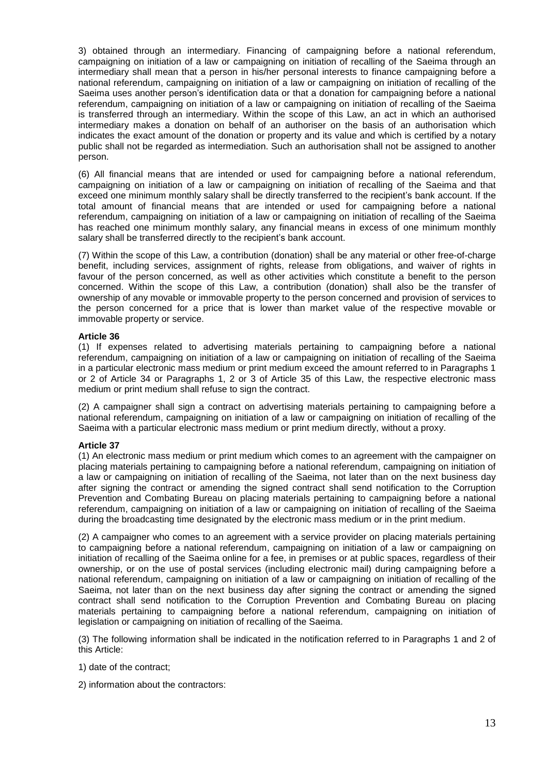3) obtained through an intermediary. Financing of campaigning before a national referendum, campaigning on initiation of a law or campaigning on initiation of recalling of the Saeima through an intermediary shall mean that a person in his/her personal interests to finance campaigning before a national referendum, campaigning on initiation of a law or campaigning on initiation of recalling of the Saeima uses another person's identification data or that a donation for campaigning before a national referendum, campaigning on initiation of a law or campaigning on initiation of recalling of the Saeima is transferred through an intermediary. Within the scope of this Law, an act in which an authorised intermediary makes a donation on behalf of an authoriser on the basis of an authorisation which indicates the exact amount of the donation or property and its value and which is certified by a notary public shall not be regarded as intermediation. Such an authorisation shall not be assigned to another person.

(6) All financial means that are intended or used for campaigning before a national referendum, campaigning on initiation of a law or campaigning on initiation of recalling of the Saeima and that exceed one minimum monthly salary shall be directly transferred to the recipient's bank account. If the total amount of financial means that are intended or used for campaigning before a national referendum, campaigning on initiation of a law or campaigning on initiation of recalling of the Saeima has reached one minimum monthly salary, any financial means in excess of one minimum monthly salary shall be transferred directly to the recipient's bank account.

(7) Within the scope of this Law, a contribution (donation) shall be any material or other free-of-charge benefit, including services, assignment of rights, release from obligations, and waiver of rights in favour of the person concerned, as well as other activities which constitute a benefit to the person concerned. Within the scope of this Law, a contribution (donation) shall also be the transfer of ownership of any movable or immovable property to the person concerned and provision of services to the person concerned for a price that is lower than market value of the respective movable or immovable property or service.

### **Article 36**

(1) If expenses related to advertising materials pertaining to campaigning before a national referendum, campaigning on initiation of a law or campaigning on initiation of recalling of the Saeima in a particular electronic mass medium or print medium exceed the amount referred to in Paragraphs 1 or 2 of Article 34 or Paragraphs 1, 2 or 3 of Article 35 of this Law, the respective electronic mass medium or print medium shall refuse to sign the contract.

(2) A campaigner shall sign a contract on advertising materials pertaining to campaigning before a national referendum, campaigning on initiation of a law or campaigning on initiation of recalling of the Saeima with a particular electronic mass medium or print medium directly, without a proxy.

# **Article 37**

(1) An electronic mass medium or print medium which comes to an agreement with the campaigner on placing materials pertaining to campaigning before a national referendum, campaigning on initiation of a law or campaigning on initiation of recalling of the Saeima, not later than on the next business day after signing the contract or amending the signed contract shall send notification to the Corruption Prevention and Combating Bureau on placing materials pertaining to campaigning before a national referendum, campaigning on initiation of a law or campaigning on initiation of recalling of the Saeima during the broadcasting time designated by the electronic mass medium or in the print medium.

(2) A campaigner who comes to an agreement with a service provider on placing materials pertaining to campaigning before a national referendum, campaigning on initiation of a law or campaigning on initiation of recalling of the Saeima online for a fee, in premises or at public spaces, regardless of their ownership, or on the use of postal services (including electronic mail) during campaigning before a national referendum, campaigning on initiation of a law or campaigning on initiation of recalling of the Saeima, not later than on the next business day after signing the contract or amending the signed contract shall send notification to the Corruption Prevention and Combating Bureau on placing materials pertaining to campaigning before a national referendum, campaigning on initiation of legislation or campaigning on initiation of recalling of the Saeima.

(3) The following information shall be indicated in the notification referred to in Paragraphs 1 and 2 of this Article:

- 1) date of the contract;
- 2) information about the contractors: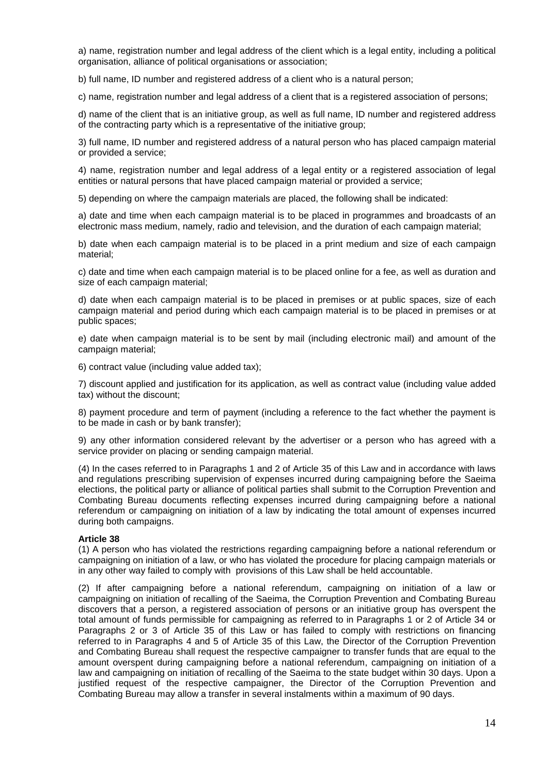a) name, registration number and legal address of the client which is a legal entity, including a political organisation, alliance of political organisations or association;

b) full name. ID number and registered address of a client who is a natural person:

c) name, registration number and legal address of a client that is a registered association of persons;

d) name of the client that is an initiative group, as well as full name, ID number and registered address of the contracting party which is a representative of the initiative group;

3) full name, ID number and registered address of a natural person who has placed campaign material or provided a service;

4) name, registration number and legal address of a legal entity or a registered association of legal entities or natural persons that have placed campaign material or provided a service;

5) depending on where the campaign materials are placed, the following shall be indicated:

a) date and time when each campaign material is to be placed in programmes and broadcasts of an electronic mass medium, namely, radio and television, and the duration of each campaign material;

b) date when each campaign material is to be placed in a print medium and size of each campaign material;

c) date and time when each campaign material is to be placed online for a fee, as well as duration and size of each campaign material;

d) date when each campaign material is to be placed in premises or at public spaces, size of each campaign material and period during which each campaign material is to be placed in premises or at public spaces;

e) date when campaign material is to be sent by mail (including electronic mail) and amount of the campaign material;

6) contract value (including value added tax);

7) discount applied and justification for its application, as well as contract value (including value added tax) without the discount;

8) payment procedure and term of payment (including a reference to the fact whether the payment is to be made in cash or by bank transfer);

9) any other information considered relevant by the advertiser or a person who has agreed with a service provider on placing or sending campaign material.

(4) In the cases referred to in Paragraphs 1 and 2 of Article 35 of this Law and in accordance with laws and regulations prescribing supervision of expenses incurred during campaigning before the Saeima elections, the political party or alliance of political parties shall submit to the Corruption Prevention and Combating Bureau documents reflecting expenses incurred during campaigning before a national referendum or campaigning on initiation of a law by indicating the total amount of expenses incurred during both campaigns.

### **Article 38**

(1) A person who has violated the restrictions regarding campaigning before a national referendum or campaigning on initiation of a law, or who has violated the procedure for placing campaign materials or in any other way failed to comply with provisions of this Law shall be held accountable.

(2) If after campaigning before a national referendum, campaigning on initiation of a law or campaigning on initiation of recalling of the Saeima, the Corruption Prevention and Combating Bureau discovers that a person, a registered association of persons or an initiative group has overspent the total amount of funds permissible for campaigning as referred to in Paragraphs 1 or 2 of Article 34 or Paragraphs 2 or 3 of Article 35 of this Law or has failed to comply with restrictions on financing referred to in Paragraphs 4 and 5 of Article 35 of this Law, the Director of the Corruption Prevention and Combating Bureau shall request the respective campaigner to transfer funds that are equal to the amount overspent during campaigning before a national referendum, campaigning on initiation of a law and campaigning on initiation of recalling of the Saeima to the state budget within 30 days. Upon a justified request of the respective campaigner, the Director of the Corruption Prevention and Combating Bureau may allow a transfer in several instalments within a maximum of 90 days.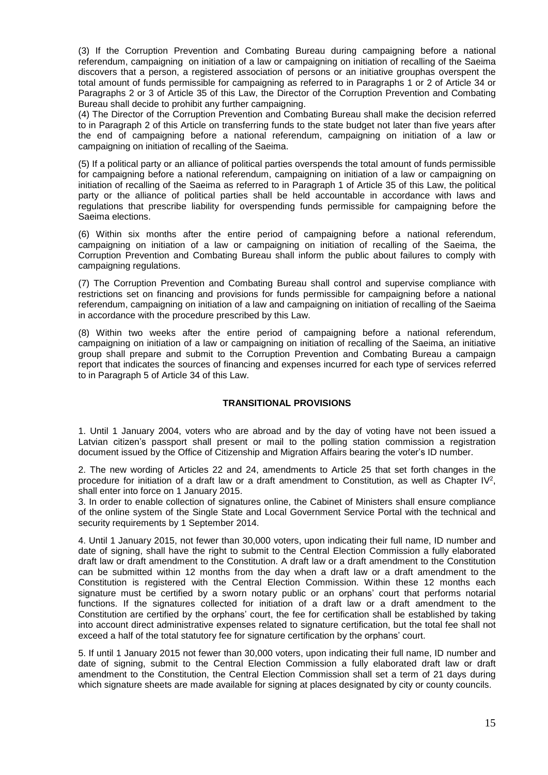(3) If the Corruption Prevention and Combating Bureau during campaigning before a national referendum, campaigning on initiation of a law or campaigning on initiation of recalling of the Saeima discovers that a person, a registered association of persons or an initiative grouphas overspent the total amount of funds permissible for campaigning as referred to in Paragraphs 1 or 2 of Article 34 or Paragraphs 2 or 3 of Article 35 of this Law, the Director of the Corruption Prevention and Combating Bureau shall decide to prohibit any further campaigning.

(4) The Director of the Corruption Prevention and Combating Bureau shall make the decision referred to in Paragraph 2 of this Article on transferring funds to the state budget not later than five years after the end of campaigning before a national referendum, campaigning on initiation of a law or campaigning on initiation of recalling of the Saeima.

(5) If a political party or an alliance of political parties overspends the total amount of funds permissible for campaigning before a national referendum, campaigning on initiation of a law or campaigning on initiation of recalling of the Saeima as referred to in Paragraph 1 of Article 35 of this Law, the political party or the alliance of political parties shall be held accountable in accordance with laws and regulations that prescribe liability for overspending funds permissible for campaigning before the Saeima elections.

(6) Within six months after the entire period of campaigning before a national referendum, campaigning on initiation of a law or campaigning on initiation of recalling of the Saeima, the Corruption Prevention and Combating Bureau shall inform the public about failures to comply with campaigning regulations.

(7) The Corruption Prevention and Combating Bureau shall control and supervise compliance with restrictions set on financing and provisions for funds permissible for campaigning before a national referendum, campaigning on initiation of a law and campaigning on initiation of recalling of the Saeima in accordance with the procedure prescribed by this Law.

(8) Within two weeks after the entire period of campaigning before a national referendum, campaigning on initiation of a law or campaigning on initiation of recalling of the Saeima, an initiative group shall prepare and submit to the Corruption Prevention and Combating Bureau a campaign report that indicates the sources of financing and expenses incurred for each type of services referred to in Paragraph 5 of Article 34 of this Law.

# **TRANSITIONAL PROVISIONS**

1. Until 1 January 2004, voters who are abroad and by the day of voting have not been issued a Latvian citizen's passport shall present or mail to the polling station commission a registration document issued by the Office of Citizenship and Migration Affairs bearing the voter's ID number.

2. The new wording of Articles 22 and 24, amendments to Article 25 that set forth changes in the procedure for initiation of a draft law or a draft amendment to Constitution, as well as Chapter IV<sup>2</sup>, shall enter into force on 1 January 2015.

3. In order to enable collection of signatures online, the Cabinet of Ministers shall ensure compliance of the online system of the Single State and Local Government Service Portal with the technical and security requirements by 1 September 2014.

4. Until 1 January 2015, not fewer than 30,000 voters, upon indicating their full name, ID number and date of signing, shall have the right to submit to the Central Election Commission a fully elaborated draft law or draft amendment to the Constitution. A draft law or a draft amendment to the Constitution can be submitted within 12 months from the day when a draft law or a draft amendment to the Constitution is registered with the Central Election Commission. Within these 12 months each signature must be certified by a sworn notary public or an orphans' court that performs notarial functions. If the signatures collected for initiation of a draft law or a draft amendment to the Constitution are certified by the orphans' court, the fee for certification shall be established by taking into account direct administrative expenses related to signature certification, but the total fee shall not exceed a half of the total statutory fee for signature certification by the orphans' court.

5. If until 1 January 2015 not fewer than 30,000 voters, upon indicating their full name, ID number and date of signing, submit to the Central Election Commission a fully elaborated draft law or draft amendment to the Constitution, the Central Election Commission shall set a term of 21 days during which signature sheets are made available for signing at places designated by city or county councils.